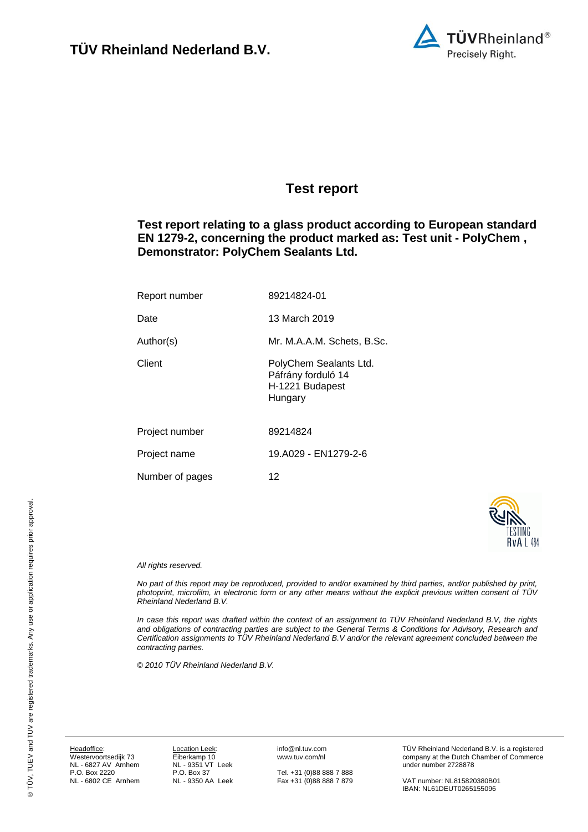

### <span id="page-0-7"></span><span id="page-0-0"></span>**Test report**

<span id="page-0-3"></span>**Test report relating to a glass product according to European standard EN 1279-2, concerning the product marked as: Test unit - PolyChem , Demonstrator: PolyChem Sealants Ltd.**

<span id="page-0-8"></span><span id="page-0-6"></span><span id="page-0-5"></span><span id="page-0-4"></span><span id="page-0-1"></span>

| Report number   | 89214824-01                                                                |
|-----------------|----------------------------------------------------------------------------|
| Date            | 13 March 2019                                                              |
| Author(s)       | Mr. M.A.A.M. Schets, B.Sc.                                                 |
| Client          | PolyChem Sealants Ltd.<br>Páfrány forduló 14<br>H-1221 Budapest<br>Hungary |
| Project number  | 89214824                                                                   |
| Project name    | 19.A029 - EN1279-2-6                                                       |
| Number of pages | 12                                                                         |



#### <span id="page-0-2"></span>*All rights reserved.*

*No part of this report may be reproduced, provided to and/or examined by third parties, and/or published by print, photoprint, microfilm, in electronic form or any other means without the explicit previous written consent of TÜV Rheinland Nederland B.V.*

*In case this report was drafted within the context of an assignment to TÜV Rheinland Nederland B.V, the rights and obligations of contracting parties are subject to the General Terms & Conditions for Advisory, Research and Certification assignments to TÜV Rheinland Nederland B.V and/or the relevant agreement concluded between the contracting parties.* 

*© 2010 TÜV Rheinland Nederland B.V.*

Headoffice: Westervoortsedijk 73 NL - 6827 AV Arnhem P.O. Box 2220 NL - 6802 CE Arnhem

Location Leek: Eiberkamp 10 NL - 9351 VT Leek P.O. Box 37 NL - 9350 AA Leek info@nl.tuv.com www.tuv.com/nl

Tel. +31 (0)88 888 7 888 Fax +31 (0)88 888 7 879 TÜV Rheinland Nederland B.V. is a registered company at the Dutch Chamber of Commerce under number 2728878

VAT number: NL815820380B01 IBAN: NL61DEUT0265155096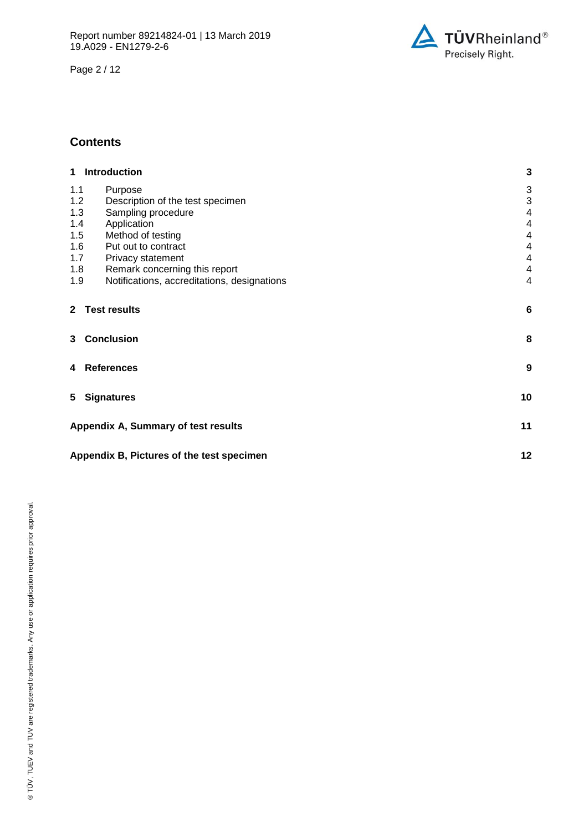Page 2 / 12



#### **Contents**

| 1 Introduction                                     | 3                       |
|----------------------------------------------------|-------------------------|
| 1.1<br>Purpose                                     | 3                       |
| 1.2<br>Description of the test specimen            | 3                       |
| 1.3<br>Sampling procedure                          | $\overline{\mathbf{4}}$ |
| 1.4<br>Application                                 | $\overline{4}$          |
| 1.5<br>Method of testing                           | $\overline{4}$          |
| 1.6<br>Put out to contract                         | $\overline{4}$          |
| 1.7<br>Privacy statement                           | 4                       |
| 1.8<br>Remark concerning this report               | 4                       |
| 1.9<br>Notifications, accreditations, designations | $\overline{4}$          |
| <b>Test results</b><br>$\mathbf{2}$                | 6                       |
| 3 Conclusion                                       | 8                       |
| <b>References</b><br>4                             | 9                       |
| <b>Signatures</b><br>5.                            | 10                      |
| Appendix A, Summary of test results                | 11                      |
| Appendix B, Pictures of the test specimen          | 12                      |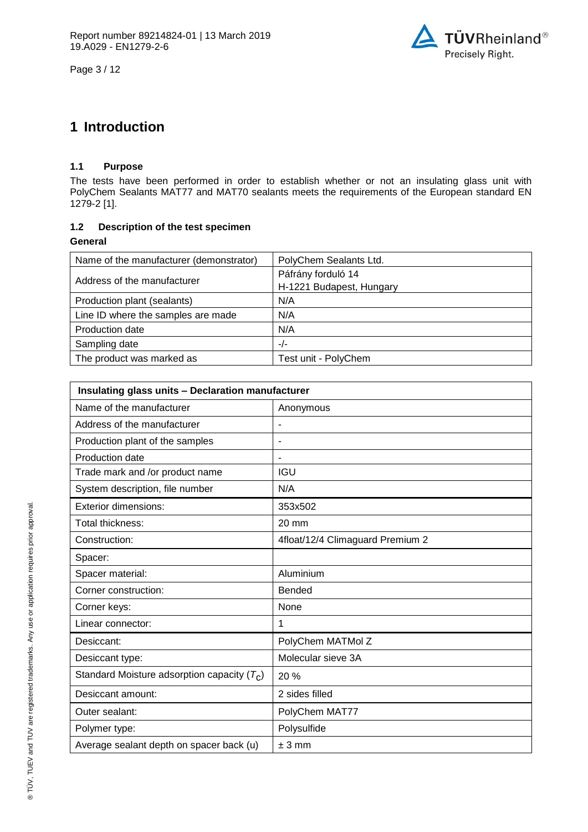



## **1 Introduction**

#### **1.1 Purpose**

The tests have been performed in order to establish whether or not an insulating glass unit with PolyChem Sealants MAT77 and MAT70 sealants meets the requirements of the European standard EN 1279-2 [1].

#### **1.2 Description of the test specimen**

**General**

| Name of the manufacturer (demonstrator) | PolyChem Sealants Ltd.                         |
|-----------------------------------------|------------------------------------------------|
| Address of the manufacturer             | Páfrány forduló 14<br>H-1221 Budapest, Hungary |
| Production plant (sealants)             | N/A                                            |
| Line ID where the samples are made      | N/A                                            |
| Production date                         | N/A                                            |
| Sampling date                           | $-/-$                                          |
| The product was marked as               | Test unit - PolyChem                           |

| Insulating glass units - Declaration manufacturer |                                  |  |
|---------------------------------------------------|----------------------------------|--|
| Name of the manufacturer                          | Anonymous                        |  |
| Address of the manufacturer                       |                                  |  |
| Production plant of the samples                   | ٠                                |  |
| Production date                                   |                                  |  |
| Trade mark and /or product name                   | <b>IGU</b>                       |  |
| System description, file number                   | N/A                              |  |
| <b>Exterior dimensions:</b>                       | 353x502                          |  |
| Total thickness:                                  | $20 \text{ mm}$                  |  |
| Construction:                                     | 4float/12/4 Climaguard Premium 2 |  |
| Spacer:                                           |                                  |  |
| Spacer material:                                  | Aluminium                        |  |
| Corner construction:                              | <b>Bended</b>                    |  |
| Corner keys:                                      | None                             |  |
| Linear connector:                                 | 1                                |  |
| Desiccant:                                        | PolyChem MATMol Z                |  |
| Desiccant type:                                   | Molecular sieve 3A               |  |
| Standard Moisture adsorption capacity $(T_C)$     | 20 %                             |  |
| Desiccant amount:                                 | 2 sides filled                   |  |
| Outer sealant:                                    | PolyChem MAT77                   |  |
| Polymer type:                                     | Polysulfide                      |  |
| Average sealant depth on spacer back (u)          | $± 3$ mm                         |  |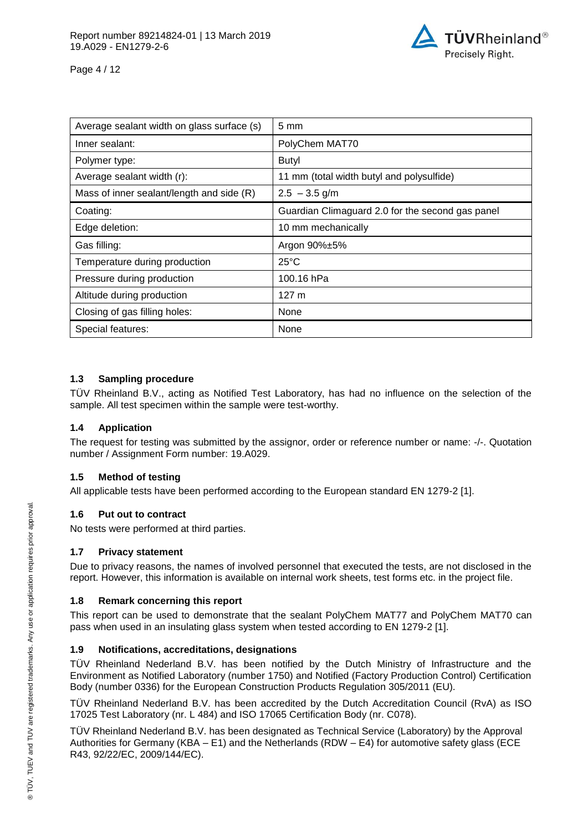

Page 4 / 12

| Average sealant width on glass surface (s) | $5 \text{ mm}$                                   |
|--------------------------------------------|--------------------------------------------------|
| Inner sealant:                             | PolyChem MAT70                                   |
| Polymer type:                              | Butyl                                            |
| Average sealant width (r):                 | 11 mm (total width butyl and polysulfide)        |
| Mass of inner sealant/length and side (R)  | $2.5 - 3.5$ g/m                                  |
| Coating:                                   | Guardian Climaguard 2.0 for the second gas panel |
| Edge deletion:                             | 10 mm mechanically                               |
| Gas filling:                               | Argon 90%±5%                                     |
| Temperature during production              | $25^{\circ}$ C                                   |
| Pressure during production                 | 100.16 hPa                                       |
| Altitude during production                 | 127 <sub>m</sub>                                 |
| Closing of gas filling holes:              | None                                             |
| Special features:                          | None                                             |

#### **1.3 Sampling procedure**

TÜV Rheinland B.V., acting as Notified Test Laboratory, has had no influence on the selection of the sample. All test specimen within the sample were test-worthy.

#### **1.4 Application**

The request for testing was submitted by the assignor, order or reference number or name: -/-. Quotation number / Assignment Form number: 19.A029.

#### **1.5 Method of testing**

All applicable tests have been performed according to the European standard EN 1279-2 [1].

#### **1.6 Put out to contract**

No tests were performed at third parties.

#### **1.7 Privacy statement**

Due to privacy reasons, the names of involved personnel that executed the tests, are not disclosed in the report. However, this information is available on internal work sheets, test forms etc. in the project file.

#### **1.8 Remark concerning this report**

This report can be used to demonstrate that the sealant PolyChem MAT77 and PolyChem MAT70 can pass when used in an insulating glass system when tested according to EN 1279-2 [1].

#### **1.9 Notifications, accreditations, designations**

TÜV Rheinland Nederland B.V. has been notified by the Dutch Ministry of Infrastructure and the Environment as Notified Laboratory (number 1750) and Notified (Factory Production Control) Certification Body (number 0336) for the European Construction Products Regulation 305/2011 (EU).

TÜV Rheinland Nederland B.V. has been accredited by the Dutch Accreditation Council (RvA) as ISO 17025 Test Laboratory (nr. L 484) and ISO 17065 Certification Body (nr. C078).

TÜV Rheinland Nederland B.V. has been designated as Technical Service (Laboratory) by the Approval Authorities for Germany (KBA – E1) and the Netherlands (RDW – E4) for automotive safety glass (ECE R43, 92/22/EC, 2009/144/EC).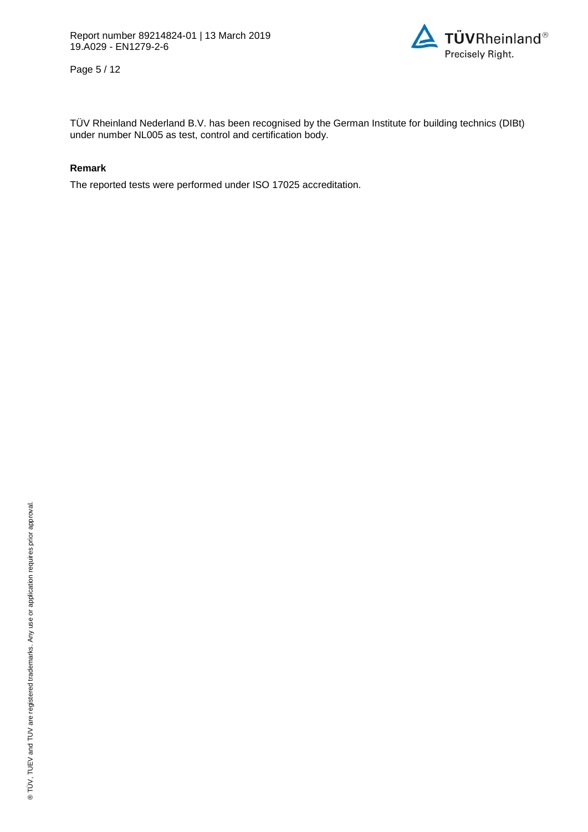

Page 5 / 12

TÜV Rheinland Nederland B.V. has been recognised by the German Institute for building technics (DIBt) under number NL005 as test, control and certification body.

#### **Remark**

The reported tests were performed under ISO 17025 accreditation.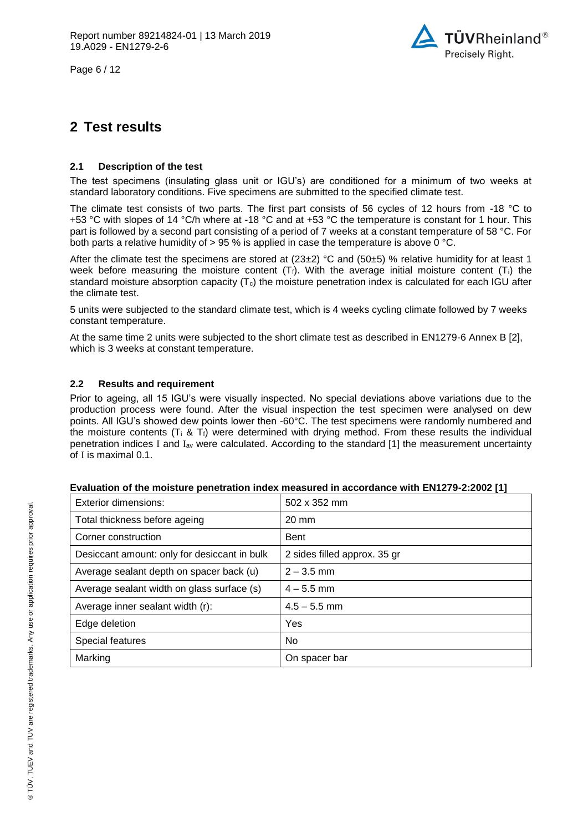Page 6 / 12



## **2 Test results**

#### **2.1 Description of the test**

The test specimens (insulating glass unit or IGU's) are conditioned for a minimum of two weeks at standard laboratory conditions. Five specimens are submitted to the specified climate test.

The climate test consists of two parts. The first part consists of 56 cycles of 12 hours from -18 °C to +53 °C with slopes of 14 °C/h where at -18 °C and at +53 °C the temperature is constant for 1 hour. This part is followed by a second part consisting of a period of 7 weeks at a constant temperature of 58 °C. For both parts a relative humidity of  $> 95$  % is applied in case the temperature is above 0 °C.

After the climate test the specimens are stored at  $(23\pm2)$  °C and  $(50\pm5)$  % relative humidity for at least 1 week before measuring the moisture content  $(T_i)$ . With the average initial moisture content  $(T_i)$  the standard moisture absorption capacity  $(T_c)$  the moisture penetration index is calculated for each IGU after the climate test.

5 units were subjected to the standard climate test, which is 4 weeks cycling climate followed by 7 weeks constant temperature.

At the same time 2 units were subjected to the short climate test as described in EN1279-6 Annex B [2], which is 3 weeks at constant temperature.

#### **2.2 Results and requirement**

Prior to ageing, all 15 IGU's were visually inspected. No special deviations above variations due to the production process were found. After the visual inspection the test specimen were analysed on dew points. All IGU's showed dew points lower then -60°C. The test specimens were randomly numbered and the moisture contents ( $T_i \& T_f$ ) were determined with drying method. From these results the individual penetration indices I and  $I_{av}$  were calculated. According to the standard [1] the measurement uncertainty of I is maximal 0.1.

| Evaluation of the moisture penetration index measured in accordance with EN1279-2:2002 [1] |  |  |  |
|--------------------------------------------------------------------------------------------|--|--|--|
|--------------------------------------------------------------------------------------------|--|--|--|

| Exterior dimensions:                         | $502 \times 352$ mm          |
|----------------------------------------------|------------------------------|
| Total thickness before ageing                | $20 \text{ mm}$              |
| Corner construction                          | <b>Bent</b>                  |
| Desiccant amount: only for desiccant in bulk | 2 sides filled approx. 35 gr |
| Average sealant depth on spacer back (u)     | $2 - 3.5$ mm                 |
| Average sealant width on glass surface (s)   | $4 - 5.5$ mm                 |
| Average inner sealant width (r):             | $4.5 - 5.5$ mm               |
| Edge deletion                                | Yes                          |
| Special features                             | No.                          |
| Marking                                      | On spacer bar                |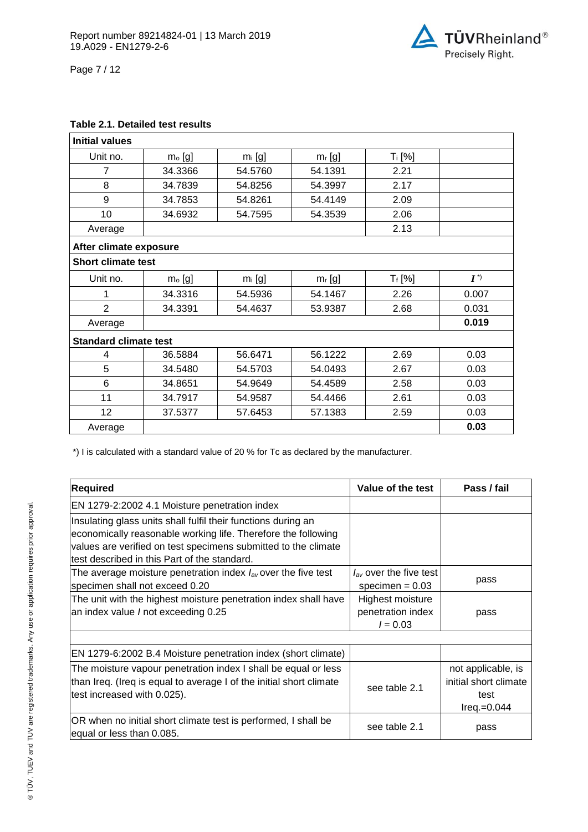

Page 7 / 12

#### **Table 2.1. Detailed test results**

| <b>Initial values</b>        |          |           |           |           |       |
|------------------------------|----------|-----------|-----------|-----------|-------|
| Unit no.                     | $mo$ [g] | $m_i$ [g] | $m_r$ [g] | $T_i$ [%] |       |
| $\overline{7}$               | 34.3366  | 54.5760   | 54.1391   | 2.21      |       |
| 8                            | 34.7839  | 54.8256   | 54.3997   | 2.17      |       |
| 9                            | 34.7853  | 54.8261   | 54.4149   | 2.09      |       |
| 10                           | 34.6932  | 54.7595   | 54.3539   | 2.06      |       |
| Average                      |          |           |           | 2.13      |       |
| After climate exposure       |          |           |           |           |       |
| <b>Short climate test</b>    |          |           |           |           |       |
| Unit no.                     | $mo$ [g] | $m_i$ [g] | $m_r$ [g] | $T_f$ [%] | $I^*$ |
| 1                            | 34.3316  | 54.5936   | 54.1467   | 2.26      | 0.007 |
| $\overline{2}$               | 34.3391  | 54.4637   | 53.9387   | 2.68      | 0.031 |
| Average                      |          |           |           |           | 0.019 |
| <b>Standard climate test</b> |          |           |           |           |       |
| 4                            | 36.5884  | 56.6471   | 56.1222   | 2.69      | 0.03  |
| 5                            | 34.5480  | 54.5703   | 54.0493   | 2.67      | 0.03  |
| 6                            | 34.8651  | 54.9649   | 54.4589   | 2.58      | 0.03  |
| 11                           | 34.7917  | 54.9587   | 54.4466   | 2.61      | 0.03  |
| 12                           | 37.5377  | 57.6453   | 57.1383   | 2.59      | 0.03  |
| Average                      |          |           |           |           | 0.03  |

\*) I is calculated with a standard value of 20 % for Tc as declared by the manufacturer.

| <b>Required</b>                                                                                                                                                                                                                                  | Value of the test                                   | Pass / fail                                                          |
|--------------------------------------------------------------------------------------------------------------------------------------------------------------------------------------------------------------------------------------------------|-----------------------------------------------------|----------------------------------------------------------------------|
| EN 1279-2:2002 4.1 Moisture penetration index                                                                                                                                                                                                    |                                                     |                                                                      |
| Insulating glass units shall fulfil their functions during an<br>economically reasonable working life. Therefore the following<br>values are verified on test specimens submitted to the climate<br>test described in this Part of the standard. |                                                     |                                                                      |
| The average moisture penetration index $I_{av}$ over the five test<br>specimen shall not exceed 0.20                                                                                                                                             | $I_{av}$ over the five test<br>specimen = $0.03$    | pass                                                                 |
| The unit with the highest moisture penetration index shall have<br>an index value / not exceeding 0.25                                                                                                                                           | Highest moisture<br>penetration index<br>$l = 0.03$ | pass                                                                 |
| EN 1279-6:2002 B.4 Moisture penetration index (short climate)                                                                                                                                                                                    |                                                     |                                                                      |
| The moisture vapour penetration index I shall be equal or less<br>than Ireq. (Ireq is equal to average I of the initial short climate<br>test increased with 0.025).                                                                             | see table 2.1                                       | not applicable, is<br>initial short climate<br>test<br>$Ireq.=0.044$ |
| OR when no initial short climate test is performed, I shall be<br>equal or less than 0.085.                                                                                                                                                      | see table 2.1                                       | pass                                                                 |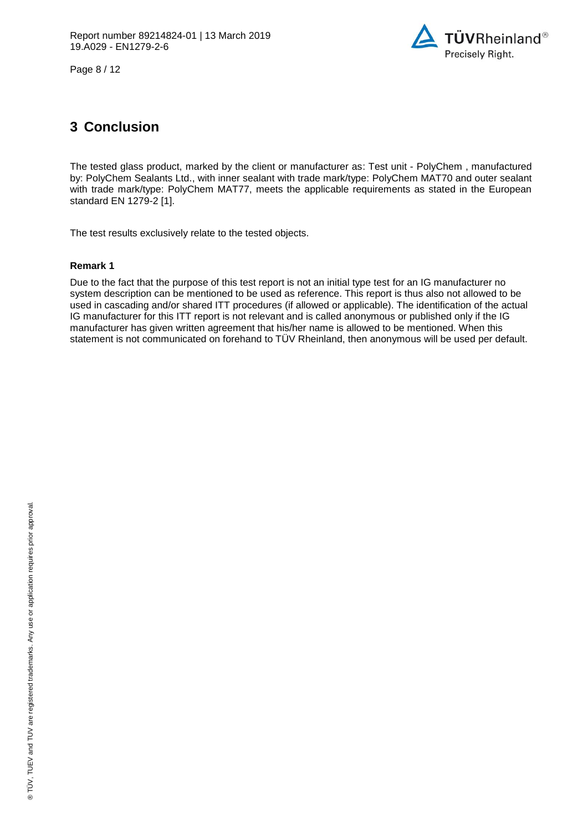

Page 8 / 12

## **3 Conclusion**

The tested glass product, marked by the client or manufacturer as: Test unit - [PolyChem ,](#page-0-7) manufactured by: [PolyChem Sealants Ltd.,](#page-0-3) with inner sealant with trade mark/type: PolyChem MAT70 and outer sealant with trade mark/type: PolyChem MAT77, meets the applicable requirements as stated in the European standard EN 1279-2 [1].

The test results exclusively relate to the tested objects.

#### **Remark 1**

Due to the fact that the purpose of this test report is not an initial type test for an IG manufacturer no system description can be mentioned to be used as reference. This report is thus also not allowed to be used in cascading and/or shared ITT procedures (if allowed or applicable). The identification of the actual IG manufacturer for this ITT report is not relevant and is called anonymous or published only if the IG manufacturer has given written agreement that his/her name is allowed to be mentioned. When this statement is not communicated on forehand to TÜV Rheinland, then anonymous will be used per default.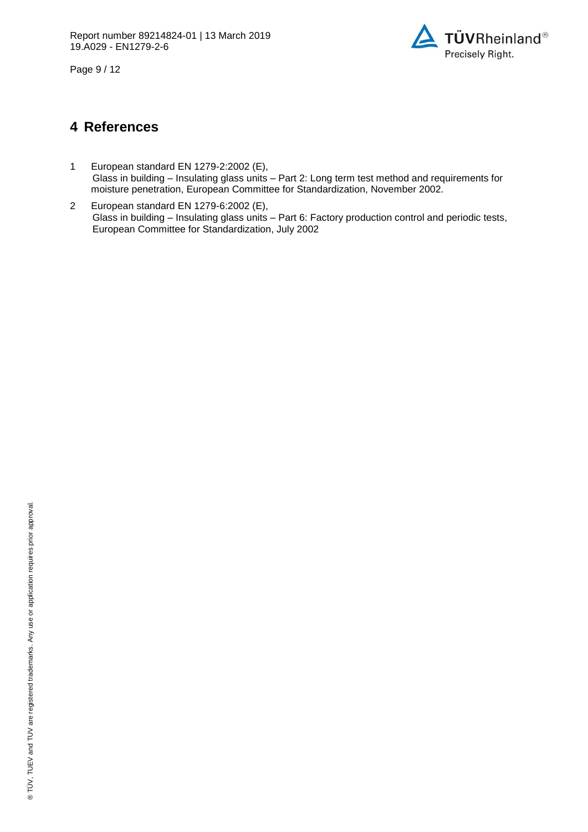

Page 9 / 12

### **4 References**

- 1 European standard EN 1279-2:2002 (E), Glass in building – Insulating glass units – Part 2: Long term test method and requirements for moisture penetration, European Committee for Standardization, November 2002.
- 2 European standard EN 1279-6:2002 (E), Glass in building – Insulating glass units – Part 6: Factory production control and periodic tests, European Committee for Standardization, July 2002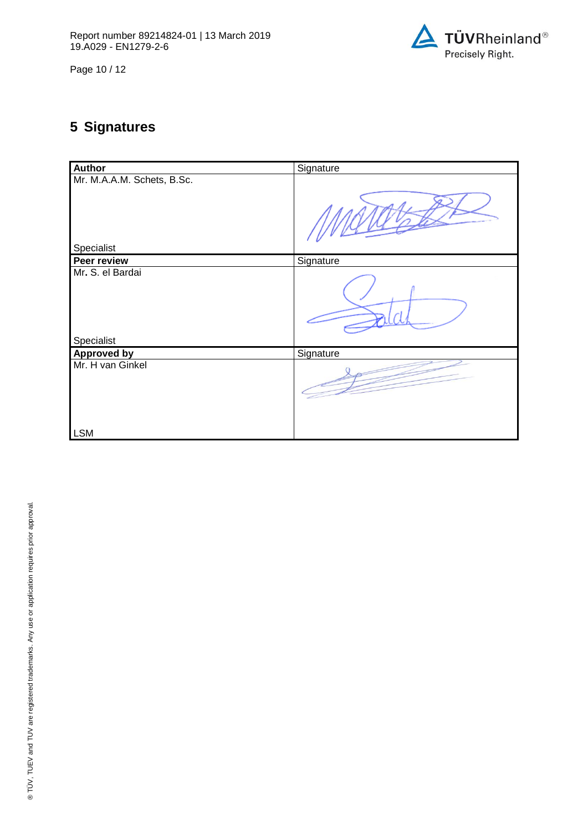

Page 10 / 12

# **5 Signatures**

| Author                           | Signature |
|----------------------------------|-----------|
| Mr. M.A.A.M. Schets, B.Sc.       |           |
| Specialist                       |           |
| Peer review                      | Signature |
| Mr. S. el Bardai                 |           |
| Specialist<br><b>Approved by</b> | Signature |
| Mr. H van Ginkel                 |           |
| <b>LSM</b>                       |           |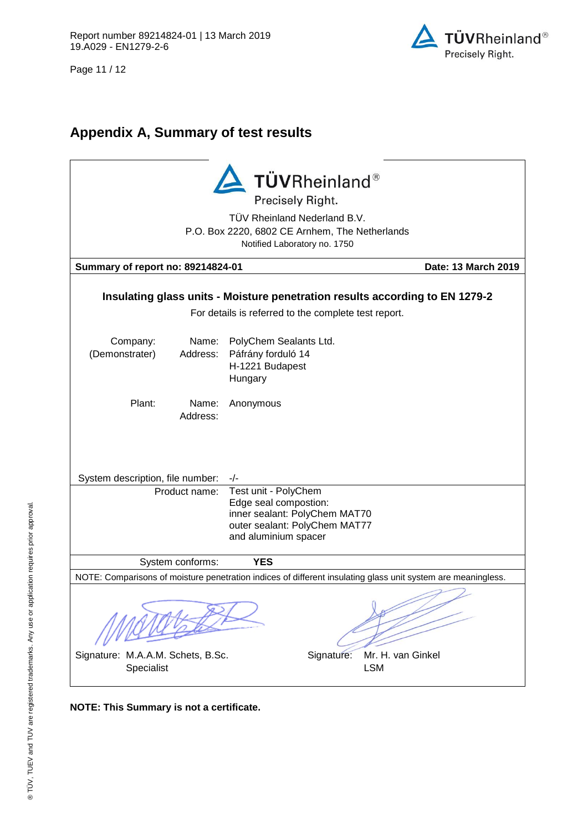Page 11 / 12



## **Appendix A, Summary of test results**

| TÜVRheinland®<br>Precisely Right.<br>TÜV Rheinland Nederland B.V.<br>P.O. Box 2220, 6802 CE Arnhem, The Netherlands<br>Notified Laboratory no. 1750 |                                                                                                                                                               |  |  |  |
|-----------------------------------------------------------------------------------------------------------------------------------------------------|---------------------------------------------------------------------------------------------------------------------------------------------------------------|--|--|--|
| Summary of report no: 89214824-01<br>Date: 13 March 2019                                                                                            |                                                                                                                                                               |  |  |  |
| Insulating glass units - Moisture penetration results according to EN 1279-2<br>For details is referred to the complete test report.                |                                                                                                                                                               |  |  |  |
| Company:<br>Name:<br>(Demonstrater)<br>Address:                                                                                                     | PolyChem Sealants Ltd.<br>Páfrány forduló 14<br>H-1221 Budapest<br>Hungary                                                                                    |  |  |  |
| Plant:<br>Name:<br>Address:                                                                                                                         | Anonymous                                                                                                                                                     |  |  |  |
| System description, file number:                                                                                                                    | $-/-$                                                                                                                                                         |  |  |  |
| Product name:                                                                                                                                       | Test unit - PolyChem<br>Edge seal compostion:<br>inner sealant: PolyChem MAT70<br>outer sealant: PolyChem MAT77<br>and aluminium spacer                       |  |  |  |
| System conforms:                                                                                                                                    | <b>YES</b>                                                                                                                                                    |  |  |  |
| Signature: M.A.A.M. Schets, B.Sc.<br>Specialist                                                                                                     | NOTE: Comparisons of moisture penetration indices of different insulating glass unit system are meaningless.<br>Mr. H. van Ginkel<br>Signature:<br><b>LSM</b> |  |  |  |